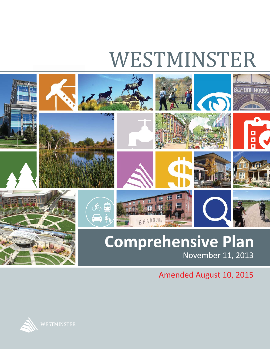# WESTMINSTER



Amended August 10, 2015

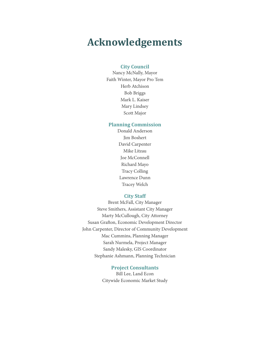## **Acknowledgements**

#### **City Council**

Nancy McNally, Mayor Faith Winter, Mayor Pro Tem Herb Atchison Bob Briggs Mark L. Kaiser Mary Lindsey Scott Major

#### **Planning Commission**

Donald Anderson Jim Boshert David Carpenter Mike Litzau Joe McConnell Richard Mayo Tracy Colling Lawrence Dunn Tracey Welch

#### **City Staff**

Brent McFall, City Manager Steve Smithers, Assistant City Manager Marty McCullough, City Attorney Susan Grafton, Economic Development Director John Carpenter, Director of Community Development Mac Cummins, Planning Manager Sarah Nurmela, Project Manager Sandy Malesky, GIS Coordinator Stephanie Ashmann, Planning Technician

#### **Project Consultants**

Bill Lee, Land Econ Citywide Economic Market Study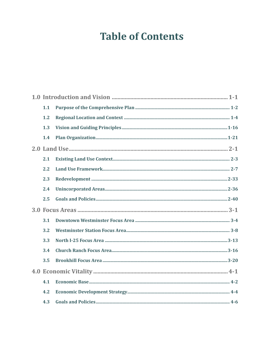## **Table of Contents**

|  | 1.1 |  |
|--|-----|--|
|  | 1.2 |  |
|  | 1.3 |  |
|  | 1.4 |  |
|  |     |  |
|  | 2.1 |  |
|  | 2.2 |  |
|  | 2.3 |  |
|  | 2.4 |  |
|  | 2.5 |  |
|  |     |  |
|  | 3.1 |  |
|  | 3.2 |  |
|  | 3.3 |  |
|  | 3.4 |  |
|  | 3.5 |  |
|  |     |  |
|  | 4.1 |  |
|  | 4.2 |  |
|  | 4.3 |  |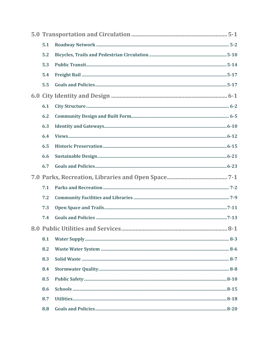| 5.1 |  |
|-----|--|
| 5.2 |  |
| 5.3 |  |
| 5.4 |  |
| 5.5 |  |
|     |  |
| 6.1 |  |
| 6.2 |  |
| 6.3 |  |
| 6.4 |  |
| 6.5 |  |
| 6.6 |  |
| 6.7 |  |
|     |  |
|     |  |
| 7.1 |  |
| 7.2 |  |
| 7.3 |  |
| 7.4 |  |
|     |  |
| 8.1 |  |
| 8.2 |  |
| 8.3 |  |
| 8.4 |  |
| 8.5 |  |
| 8.6 |  |
| 8.7 |  |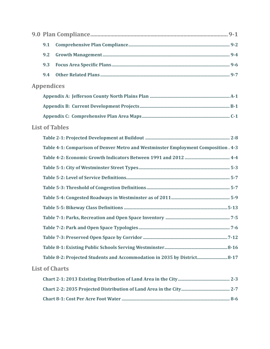| 9.1               |                                                                                   |  |  |
|-------------------|-----------------------------------------------------------------------------------|--|--|
| 9.2               |                                                                                   |  |  |
| 9.3               |                                                                                   |  |  |
| 9.4               |                                                                                   |  |  |
| <b>Appendices</b> |                                                                                   |  |  |
|                   |                                                                                   |  |  |
|                   |                                                                                   |  |  |
|                   |                                                                                   |  |  |
|                   | <b>List of Tables</b>                                                             |  |  |
|                   |                                                                                   |  |  |
|                   | Table 4-1: Comparison of Denver Metro and Westminster Employment Composition. 4-3 |  |  |
|                   |                                                                                   |  |  |
|                   |                                                                                   |  |  |
|                   |                                                                                   |  |  |
|                   |                                                                                   |  |  |
|                   |                                                                                   |  |  |
|                   |                                                                                   |  |  |
|                   |                                                                                   |  |  |
|                   |                                                                                   |  |  |
|                   |                                                                                   |  |  |
|                   |                                                                                   |  |  |
|                   | Table 8-2: Projected Students and Accommodation in 2035 by District 8-17          |  |  |
|                   | <b>List of Charts</b>                                                             |  |  |
|                   |                                                                                   |  |  |
|                   |                                                                                   |  |  |
|                   |                                                                                   |  |  |